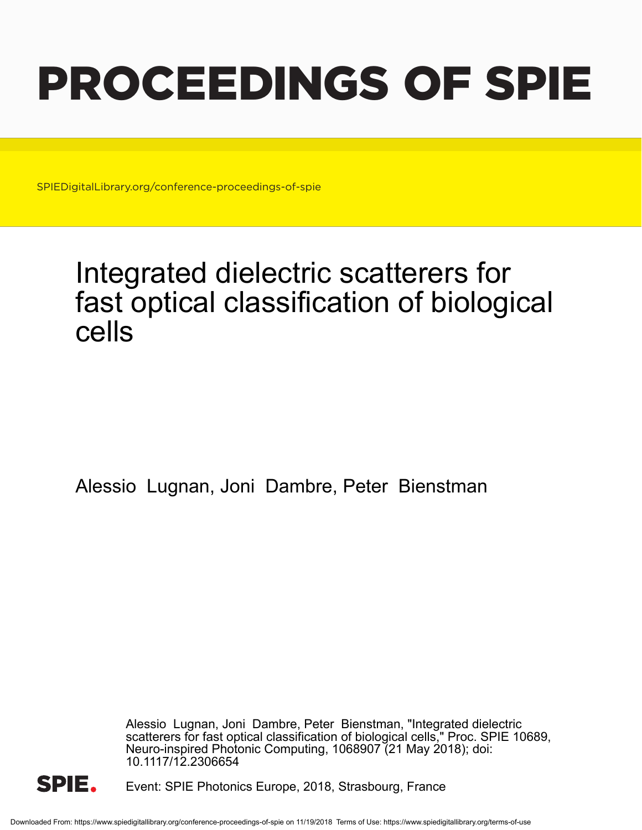# PROCEEDINGS OF SPIE

SPIEDigitalLibrary.org/conference-proceedings-of-spie

## Integrated dielectric scatterers for fast optical classification of biological cells

Alessio Lugnan, Joni Dambre, Peter Bienstman

Alessio Lugnan, Joni Dambre, Peter Bienstman, "Integrated dielectric scatterers for fast optical classification of biological cells," Proc. SPIE 10689, Neuro-inspired Photonic Computing, 1068907 (21 May 2018); doi: 10.1117/12.2306654



Event: SPIE Photonics Europe, 2018, Strasbourg, France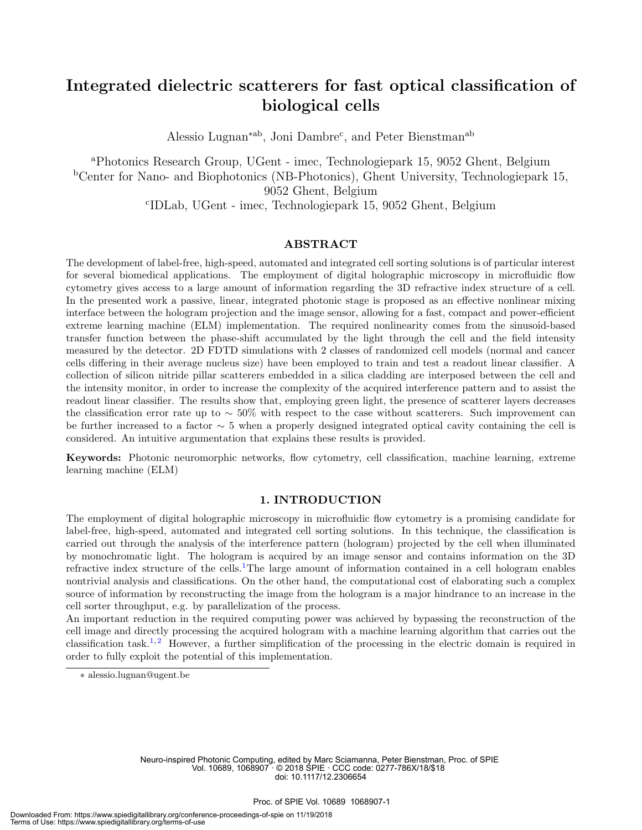### Integrated dielectric scatterers for fast optical classification of biological cells

Alessio Lugnan<sup>\*ab</sup>, Joni Dambre<sup>c</sup>, and Peter Bienstman<sup>ab</sup>

<sup>a</sup>Photonics Research Group, UGent - imec, Technologiepark 15, 9052 Ghent, Belgium <sup>b</sup>Center for Nano- and Biophotonics (NB-Photonics), Ghent University, Technologiepark 15, 9052 Ghent, Belgium c IDLab, UGent - imec, Technologiepark 15, 9052 Ghent, Belgium

#### ABSTRACT

The development of label-free, high-speed, automated and integrated cell sorting solutions is of particular interest for several biomedical applications. The employment of digital holographic microscopy in microfluidic flow cytometry gives access to a large amount of information regarding the 3D refractive index structure of a cell. In the presented work a passive, linear, integrated photonic stage is proposed as an effective nonlinear mixing interface between the hologram projection and the image sensor, allowing for a fast, compact and power-efficient extreme learning machine (ELM) implementation. The required nonlinearity comes from the sinusoid-based transfer function between the phase-shift accumulated by the light through the cell and the field intensity measured by the detector. 2D FDTD simulations with 2 classes of randomized cell models (normal and cancer cells differing in their average nucleus size) have been employed to train and test a readout linear classifier. A collection of silicon nitride pillar scatterers embedded in a silica cladding are interposed between the cell and the intensity monitor, in order to increase the complexity of the acquired interference pattern and to assist the readout linear classifier. The results show that, employing green light, the presence of scatterer layers decreases the classification error rate up to  $\sim 50\%$  with respect to the case without scatterers. Such improvement can be further increased to a factor ∼ 5 when a properly designed integrated optical cavity containing the cell is considered. An intuitive argumentation that explains these results is provided.

Keywords: Photonic neuromorphic networks, flow cytometry, cell classification, machine learning, extreme learning machine (ELM)

#### 1. INTRODUCTION

The employment of digital holographic microscopy in microfluidic flow cytometry is a promising candidate for label-free, high-speed, automated and integrated cell sorting solutions. In this technique, the classification is carried out through the analysis of the interference pattern (hologram) projected by the cell when illuminated by monochromatic light. The hologram is acquired by an image sensor and contains information on the 3D refractive index structure of the cells.<sup>1</sup>The large amount of information contained in a cell hologram enables nontrivial analysis and classifications. On the other hand, the computational cost of elaborating such a complex source of information by reconstructing the image from the hologram is a major hindrance to an increase in the cell sorter throughput, e.g. by parallelization of the process.

An important reduction in the required computing power was achieved by bypassing the reconstruction of the cell image and directly processing the acquired hologram with a machine learning algorithm that carries out the classification task.<sup>1,2</sup> However, a further simplification of the processing in the electric domain is required in order to fully exploit the potential of this implementation.

Neuro-inspired Photonic Computing, edited by Marc Sciamanna, Peter Bienstman, Proc. of SPIE Vol. 10689, 1068907 · © 2018 SPIE · CCC code: 0277-786X/18/\$18 doi: 10.1117/12.2306654

<sup>∗</sup> alessio.lugnan@ugent.be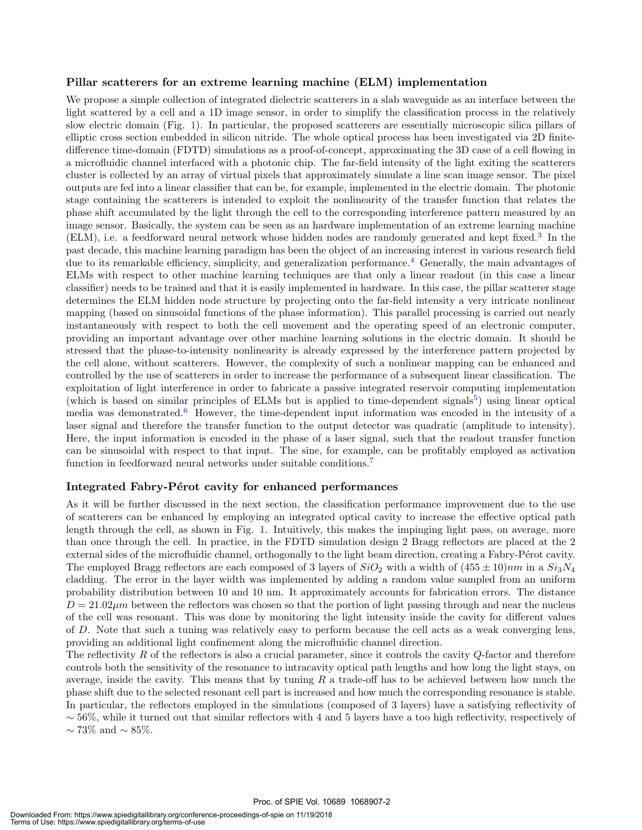#### Pillar scatterers for an extreme learning machine (ELM) implementation

We propose a simple collection of integrated dielectric scatterers in a slab waveguide as an interface between the light scattered by a cell and a 1D image sensor, in order to simplify the classification process in the relatively slow electric domain (Fig. 1). In particular, the proposed scatterers are essentially microscopic silica pillars of elliptic cross section embedded in silicon nitride. The whole optical process has been investigated via 2D finitedifference time-domain (FDTD) simulations as a proof-of-concept, approximating the 3D case of a cell flowing in a microfluidic channel interfaced with a photonic chip. The far-field intensity of the light exiting the scatterers cluster is collected by an array of virtual pixels that approximately simulate a line scan image sensor. The pixel outputs are fed into a linear classifier that can be, for example, implemented in the electric domain. The photonic stage containing the scatterers is intended to exploit the nonlinearity of the transfer function that relates the phase shift accumulated by the light through the cell to the corresponding interference pattern measured by an image sensor. Basically, the system can be seen as an hardware implementation of an extreme learning machine (ELM), i.e. a feedforward neural network whose hidden nodes are randomly generated and kept fixed.<sup>3</sup> In the past decade, this machine learning paradigm has been the object of an increasing interest in various research field due to its remarkable efficiency, simplicity, and generalization performance.<sup>4</sup> Generally, the main advantages of ELMs with respect to other machine learning techniques are that only a linear readout (in this case a linear classifier) needs to be trained and that it is easily implemented in hardware. In this case, the pillar scatterer stage determines the ELM hidden node structure by projecting onto the far-field intensity a very intricate nonlinear mapping (based on sinusoidal functions of the phase information). This parallel processing is carried out nearly instantaneously with respect to both the cell movement and the operating speed of an electronic computer, providing an important advantage over other machine learning solutions in the electric domain. It should be stressed that the phase-to-intensity nonlinearity is already expressed by the interference pattern projected by the cell alone, without scatterers. However, the complexity of such a nonlinear mapping can be enhanced and controlled by the use of scatterers in order to increase the performance of a subsequent linear classification. The exploitation of light interference in order to fabricate a passive integrated reservoir computing implementation (which is based on similar principles of ELMs but is applied to time-dependent signals<sup>5</sup>) using linear optical media was demonstrated.<sup>6</sup> However, the time-dependent input information was encoded in the intensity of a laser signal and therefore the transfer function to the output detector was quadratic (amplitude to intensity). Here, the input information is encoded in the phase of a laser signal, such that the readout transfer function can be sinusoidal with respect to that input. The sine, for example, can be profitably employed as activation function in feedforward neural networks under suitable conditions.<sup>7</sup>

#### Integrated Fabry-Pérot cavity for enhanced performances

As it will be further discussed in the next section, the classification performance improvement due to the use of scatterers can be enhanced by employing an integrated optical cavity to increase the effective optical path length through the cell, as shown in Fig. 1. Intuitively, this makes the impinging light pass, on average, more than once through the cell. In practice, in the FDTD simulation design 2 Bragg reflectors are placed at the 2 external sides of the microfluidic channel, orthogonally to the light beam direction, creating a Fabry-Pérot cavity. The employed Bragg reflectors are each composed of 3 layers of  $SiO_2$  with a width of  $(455 \pm 10)nm$  in a  $Si_3N_4$ cladding. The error in the layer width was implemented by adding a random value sampled from an uniform probability distribution between 10 and 10 nm. It approximately accounts for fabrication errors. The distance  $D = 21.02 \mu m$  between the reflectors was chosen so that the portion of light passing through and near the nucleus of the cell was resonant. This was done by monitoring the light intensity inside the cavity for different values of D. Note that such a tuning was relatively easy to perform because the cell acts as a weak converging lens, providing an additional light confinement along the microfluidic channel direction.

The reflectivity  $R$  of the reflectors is also a crucial parameter, since it controls the cavity  $Q$ -factor and therefore controls both the sensitivity of the resonance to intracavity optical path lengths and how long the light stays, on average, inside the cavity. This means that by tuning  $R$  a trade-off has to be achieved between how much the phase shift due to the selected resonant cell part is increased and how much the corresponding resonance is stable. In particular, the reflectors employed in the simulations (composed of 3 layers) have a satisfying reflectivity of  $\sim$  56%, while it turned out that similar reflectors with 4 and 5 layers have a too high reflectivity, respectively of  $\sim$  73\% and  $\sim$  85\%.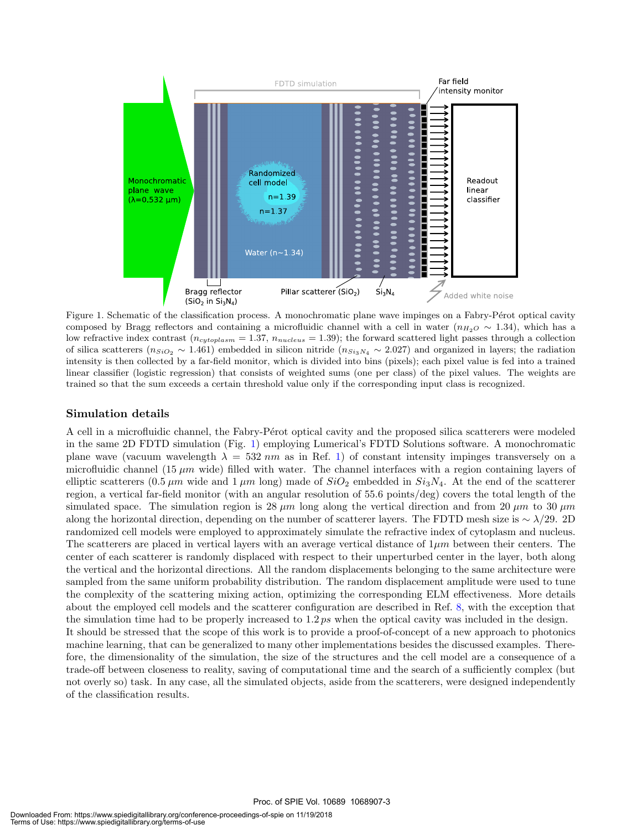

Figure 1. Schematic of the classification process. A monochromatic plane wave impinges on a Fabry-Pérot optical cavity composed by Bragg reflectors and containing a microfluidic channel with a cell in water ( $n_{H_2O} \sim 1.34$ ), which has a low refractive index contrast ( $n_{cytoplasm} = 1.37$ ,  $n_{nucleus} = 1.39$ ); the forward scattered light passes through a collection of silica scatterers ( $n_{SiO_2} \sim 1.461$ ) embedded in silicon nitride ( $n_{Si_3N_4} \sim 2.027$ ) and organized in layers; the radiation intensity is then collected by a far-field monitor, which is divided into bins (pixels); each pixel value is fed into a trained linear classifier (logistic regression) that consists of weighted sums (one per class) of the pixel values. The weights are trained so that the sum exceeds a certain threshold value only if the corresponding input class is recognized.

#### Simulation details

A cell in a microfluidic channel, the Fabry-Pérot optical cavity and the proposed silica scatterers were modeled in the same 2D FDTD simulation (Fig. 1) employing Lumerical's FDTD Solutions software. A monochromatic plane wave (vacuum wavelength  $\lambda = 532 \text{ nm}$  as in Ref. 1) of constant intensity impinges transversely on a microfluidic channel (15  $\mu$ m wide) filled with water. The channel interfaces with a region containing layers of elliptic scatterers (0.5  $\mu$ m wide and 1  $\mu$ m long) made of  $SiO_2$  embedded in  $Si_3N_4$ . At the end of the scatterer region, a vertical far-field monitor (with an angular resolution of 55.6 points/deg) covers the total length of the simulated space. The simulation region is 28  $\mu$ m long along the vertical direction and from 20  $\mu$ m to 30  $\mu$ m along the horizontal direction, depending on the number of scatterer layers. The FDTD mesh size is  $\sim \lambda/29$ . 2D randomized cell models were employed to approximately simulate the refractive index of cytoplasm and nucleus. The scatterers are placed in vertical layers with an average vertical distance of  $1\mu m$  between their centers. The center of each scatterer is randomly displaced with respect to their unperturbed center in the layer, both along the vertical and the horizontal directions. All the random displacements belonging to the same architecture were sampled from the same uniform probability distribution. The random displacement amplitude were used to tune the complexity of the scattering mixing action, optimizing the corresponding ELM effectiveness. More details about the employed cell models and the scatterer configuration are described in Ref. 8, with the exception that the simulation time had to be properly increased to  $1.2 \text{ ps}$  when the optical cavity was included in the design. It should be stressed that the scope of this work is to provide a proof-of-concept of a new approach to photonics machine learning, that can be generalized to many other implementations besides the discussed examples. Therefore, the dimensionality of the simulation, the size of the structures and the cell model are a consequence of a trade-off between closeness to reality, saving of computational time and the search of a sufficiently complex (but not overly so) task. In any case, all the simulated objects, aside from the scatterers, were designed independently of the classification results.

Proc. of SPIE Vol. 10689 1068907-3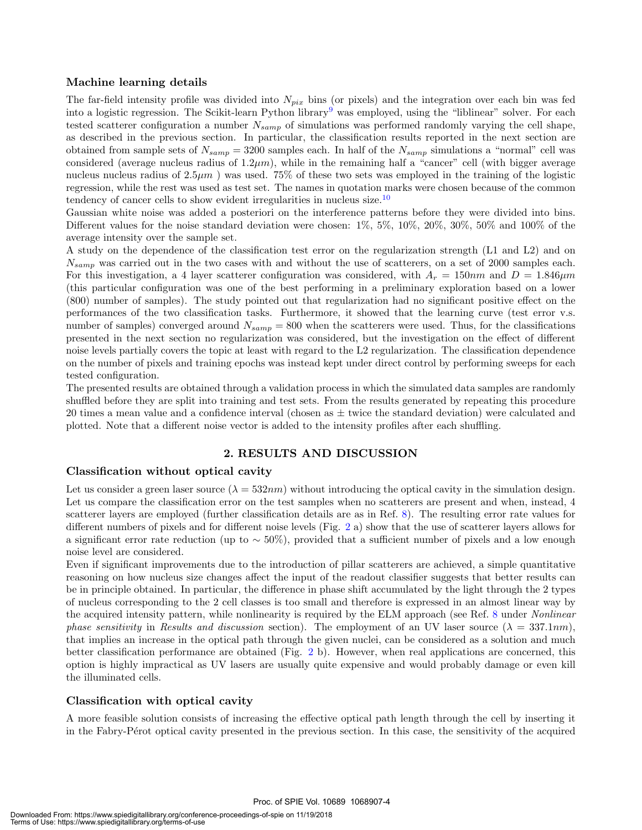#### Machine learning details

The far-field intensity profile was divided into  $N_{pix}$  bins (or pixels) and the integration over each bin was fed into a logistic regression. The Scikit-learn Python library<sup>9</sup> was employed, using the "liblinear" solver. For each tested scatterer configuration a number  $N_{\text{samp}}$  of simulations was performed randomly varying the cell shape, as described in the previous section. In particular, the classification results reported in the next section are obtained from sample sets of  $N_{\text{samp}} = 3200$  samples each. In half of the  $N_{\text{samp}}$  simulations a "normal" cell was considered (average nucleus radius of  $1.2\mu m$ ), while in the remaining half a "cancer" cell (with bigger average nucleus nucleus radius of  $2.5\mu m$ ) was used. 75% of these two sets was employed in the training of the logistic regression, while the rest was used as test set. The names in quotation marks were chosen because of the common tendency of cancer cells to show evident irregularities in nucleus size.<sup>10</sup>

Gaussian white noise was added a posteriori on the interference patterns before they were divided into bins. Different values for the noise standard deviation were chosen:  $1\%$ ,  $5\%$ ,  $10\%$ ,  $20\%$ ,  $30\%$ ,  $50\%$  and  $100\%$  of the average intensity over the sample set.

A study on the dependence of the classification test error on the regularization strength (L1 and L2) and on  $N_{\text{samp}}$  was carried out in the two cases with and without the use of scatterers, on a set of 2000 samples each. For this investigation, a 4 layer scatterer configuration was considered, with  $A_r = 150nm$  and  $D = 1.846 \mu m$ (this particular configuration was one of the best performing in a preliminary exploration based on a lower (800) number of samples). The study pointed out that regularization had no significant positive effect on the performances of the two classification tasks. Furthermore, it showed that the learning curve (test error v.s. number of samples) converged around  $N_{\text{samp}} = 800$  when the scatterers were used. Thus, for the classifications presented in the next section no regularization was considered, but the investigation on the effect of different noise levels partially covers the topic at least with regard to the L2 regularization. The classification dependence on the number of pixels and training epochs was instead kept under direct control by performing sweeps for each tested configuration.

The presented results are obtained through a validation process in which the simulated data samples are randomly shuffled before they are split into training and test sets. From the results generated by repeating this procedure 20 times a mean value and a confidence interval (chosen as ± twice the standard deviation) were calculated and plotted. Note that a different noise vector is added to the intensity profiles after each shuffling.

#### 2. RESULTS AND DISCUSSION

#### Classification without optical cavity

Let us consider a green laser source  $(\lambda = 532nm)$  without introducing the optical cavity in the simulation design. Let us compare the classification error on the test samples when no scatterers are present and when, instead, 4 scatterer layers are employed (further classification details are as in Ref. 8). The resulting error rate values for different numbers of pixels and for different noise levels (Fig. 2 a) show that the use of scatterer layers allows for a significant error rate reduction (up to ∼ 50%), provided that a sufficient number of pixels and a low enough noise level are considered.

Even if significant improvements due to the introduction of pillar scatterers are achieved, a simple quantitative reasoning on how nucleus size changes affect the input of the readout classifier suggests that better results can be in principle obtained. In particular, the difference in phase shift accumulated by the light through the 2 types of nucleus corresponding to the 2 cell classes is too small and therefore is expressed in an almost linear way by the acquired intensity pattern, while nonlinearity is required by the ELM approach (see Ref. 8 under *Nonlinear* phase sensitivity in Results and discussion section). The employment of an UV laser source  $(\lambda = 337.1nm)$ , that implies an increase in the optical path through the given nuclei, can be considered as a solution and much better classification performance are obtained (Fig. 2 b). However, when real applications are concerned, this option is highly impractical as UV lasers are usually quite expensive and would probably damage or even kill the illuminated cells.

#### Classification with optical cavity

A more feasible solution consists of increasing the effective optical path length through the cell by inserting it in the Fabry-Pérot optical cavity presented in the previous section. In this case, the sensitivity of the acquired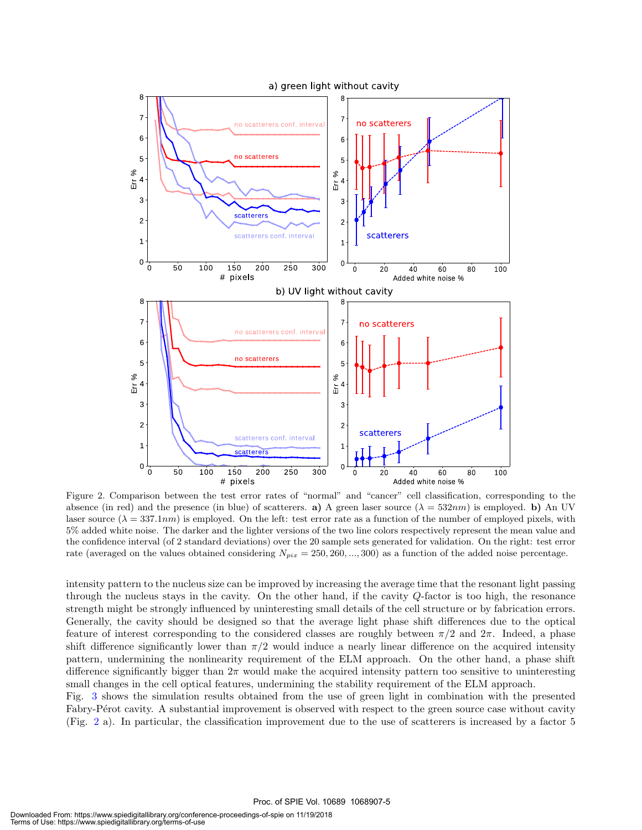

Figure 2. Comparison between the test error rates of "normal" and "cancer" cell classification, corresponding to the absence (in red) and the presence (in blue) of scatterers. a) A green laser source  $(\lambda = 532nm)$  is employed. b) An UV laser source  $(\lambda = 337.1nm)$  is employed. On the left: test error rate as a function of the number of employed pixels, with 5% added white noise. The darker and the lighter versions of the two line colors respectively represent the mean value and the confidence interval (of 2 standard deviations) over the 20 sample sets generated for validation. On the right: test error rate (averaged on the values obtained considering  $N_{pix} = 250, 260, ..., 300$ ) as a function of the added noise percentage.

intensity pattern to the nucleus size can be improved by increasing the average time that the resonant light passing through the nucleus stays in the cavity. On the other hand, if the cavity Q-factor is too high, the resonance strength might be strongly influenced by uninteresting small details of the cell structure or by fabrication errors. Generally, the cavity should be designed so that the average light phase shift differences due to the optical feature of interest corresponding to the considered classes are roughly between  $\pi/2$  and  $2\pi$ . Indeed, a phase shift difference significantly lower than  $\pi/2$  would induce a nearly linear difference on the acquired intensity pattern, undermining the nonlinearity requirement of the ELM approach. On the other hand, a phase shift difference significantly bigger than  $2\pi$  would make the acquired intensity pattern too sensitive to uninteresting small changes in the cell optical features, undermining the stability requirement of the ELM approach.

Fig. 3 shows the simulation results obtained from the use of green light in combination with the presented Fabry-Pérot cavity. A substantial improvement is observed with respect to the green source case without cavity (Fig. 2 a). In particular, the classification improvement due to the use of scatterers is increased by a factor 5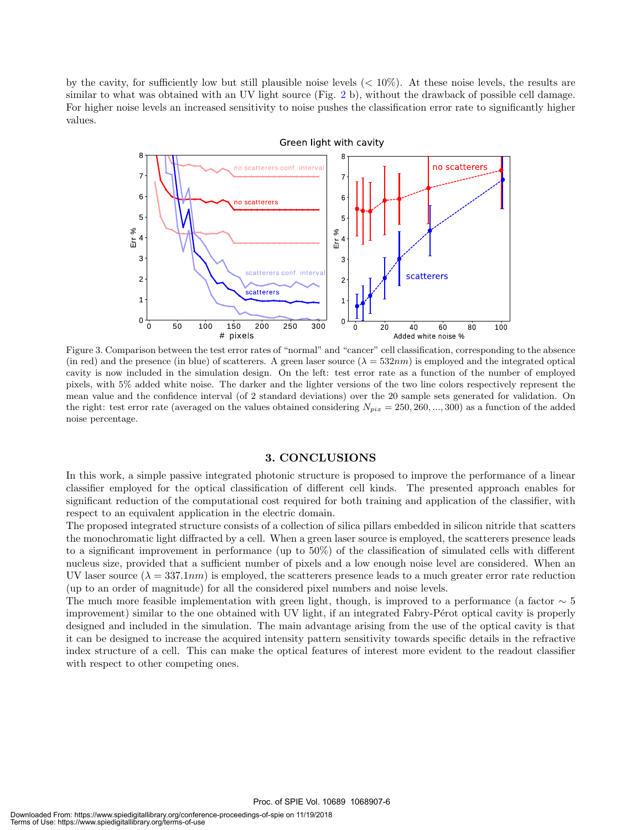by the cavity, for sufficiently low but still plausible noise levels  $(< 10\%)$ . At these noise levels, the results are similar to what was obtained with an UV light source (Fig. 2 b), without the drawback of possible cell damage. For higher noise levels an increased sensitivity to noise pushes the classification error rate to significantly higher values.



Figure 3. Comparison between the test error rates of "normal" and "cancer" cell classification, corresponding to the absence (in red) and the presence (in blue) of scatterers. A green laser source  $(\lambda = 532nm)$  is employed and the integrated optical cavity is now included in the simulation design. On the left: test error rate as a function of the number of employed pixels, with 5% added white noise. The darker and the lighter versions of the two line colors respectively represent the mean value and the confidence interval (of 2 standard deviations) over the 20 sample sets generated for validation. On the right: test error rate (averaged on the values obtained considering  $N_{pix} = 250, 260, ..., 300$ ) as a function of the added noise percentage.

#### 3. CONCLUSIONS

In this work, a simple passive integrated photonic structure is proposed to improve the performance of a linear classifier employed for the optical classification of different cell kinds. The presented approach enables for significant reduction of the computational cost required for both training and application of the classifier, with respect to an equivalent application in the electric domain.

The proposed integrated structure consists of a collection of silica pillars embedded in silicon nitride that scatters the monochromatic light diffracted by a cell. When a green laser source is employed, the scatterers presence leads to a significant improvement in performance (up to 50%) of the classification of simulated cells with different nucleus size, provided that a sufficient number of pixels and a low enough noise level are considered. When an UV laser source  $(\lambda = 337.1nm)$  is employed, the scatterers presence leads to a much greater error rate reduction (up to an order of magnitude) for all the considered pixel numbers and noise levels.

The much more feasible implementation with green light, though, is improved to a performance (a factor  $\sim 5$ improvement) similar to the one obtained with UV light, if an integrated Fabry-Pérot optical cavity is properly designed and included in the simulation. The main advantage arising from the use of the optical cavity is that it can be designed to increase the acquired intensity pattern sensitivity towards specific details in the refractive index structure of a cell. This can make the optical features of interest more evident to the readout classifier with respect to other competing ones.

Proc. of SPIE Vol. 10689 1068907-6